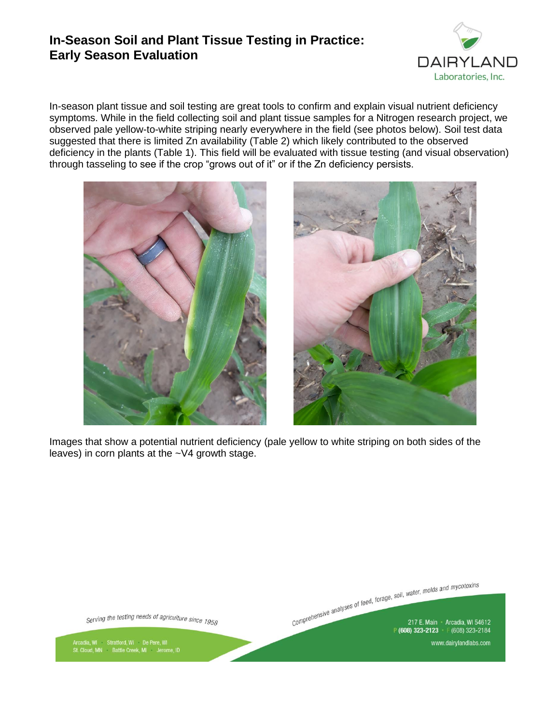## **In-Season Soil and Plant Tissue Testing in Practice: Early Season Evaluation**



In-season plant tissue and soil testing are great tools to confirm and explain visual nutrient deficiency symptoms. While in the field collecting soil and plant tissue samples for a Nitrogen research project, we observed pale yellow-to-white striping nearly everywhere in the field (see photos below). Soil test data suggested that there is limited Zn availability (Table 2) which likely contributed to the observed deficiency in the plants (Table 1). This field will be evaluated with tissue testing (and visual observation) through tasseling to see if the crop "grows out of it" or if the Zn deficiency persists.





Images that show a potential nutrient deficiency (pale yellow to white striping on both sides of the leaves) in corn plants at the ~V4 growth stage.